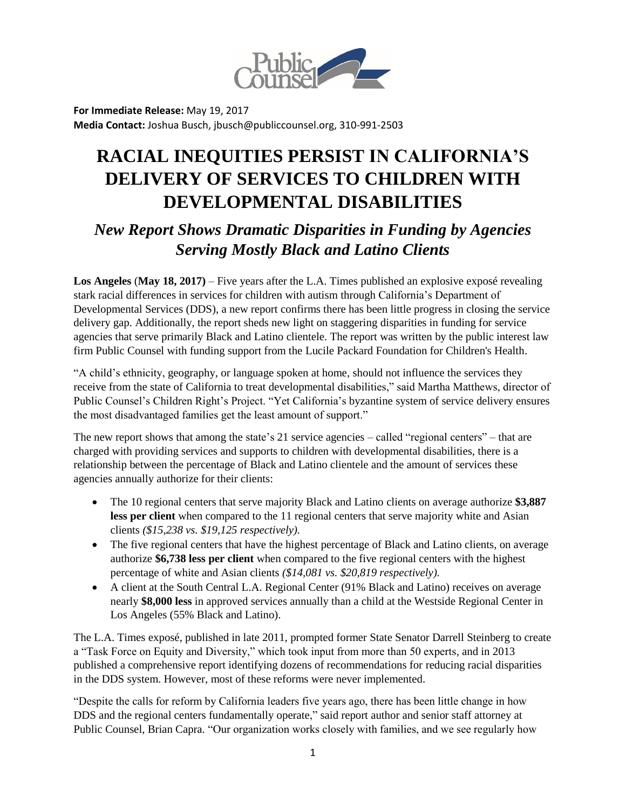

**For Immediate Release:** May 19, 2017 **Media Contact:** Joshua Busch, jbusch@publiccounsel.org, 310-991-2503

## **RACIAL INEQUITIES PERSIST IN CALIFORNIA'S DELIVERY OF SERVICES TO CHILDREN WITH DEVELOPMENTAL DISABILITIES**

## *New Report Shows Dramatic Disparities in Funding by Agencies Serving Mostly Black and Latino Clients*

**Los Angeles** (**May 18, 2017)** – Five years after the L.A. Times published an explosive exposé revealing stark racial differences in services for children with autism through California's Department of Developmental Services (DDS), a new report confirms there has been little progress in closing the service delivery gap. Additionally, the report sheds new light on staggering disparities in funding for service agencies that serve primarily Black and Latino clientele. The report was written by the public interest law firm Public Counsel with funding support from the Lucile Packard Foundation for Children's Health.

"A child's ethnicity, geography, or language spoken at home, should not influence the services they receive from the state of California to treat developmental disabilities," said Martha Matthews, director of Public Counsel's Children Right's Project. "Yet California's byzantine system of service delivery ensures the most disadvantaged families get the least amount of support."

The new report shows that among the state's 21 service agencies – called "regional centers" – that are charged with providing services and supports to children with developmental disabilities, there is a relationship between the percentage of Black and Latino clientele and the amount of services these agencies annually authorize for their clients:

- The 10 regional centers that serve majority Black and Latino clients on average authorize **\$3,887 less per client** when compared to the 11 regional centers that serve majority white and Asian clients *(\$15,238 vs. \$19,125 respectively).*
- The five regional centers that have the highest percentage of Black and Latino clients, on average authorize **\$6,738 less per client** when compared to the five regional centers with the highest percentage of white and Asian clients *(\$14,081 vs. \$20,819 respectively).*
- A client at the South Central L.A. Regional Center (91% Black and Latino) receives on average nearly **\$8,000 less** in approved services annually than a child at the Westside Regional Center in Los Angeles (55% Black and Latino).

The L.A. Times exposé, published in late 2011, prompted former State Senator Darrell Steinberg to create a "Task Force on Equity and Diversity," which took input from more than 50 experts, and in 2013 published a comprehensive report identifying dozens of recommendations for reducing racial disparities in the DDS system. However, most of these reforms were never implemented.

"Despite the calls for reform by California leaders five years ago, there has been little change in how DDS and the regional centers fundamentally operate," said report author and senior staff attorney at Public Counsel, Brian Capra. "Our organization works closely with families, and we see regularly how